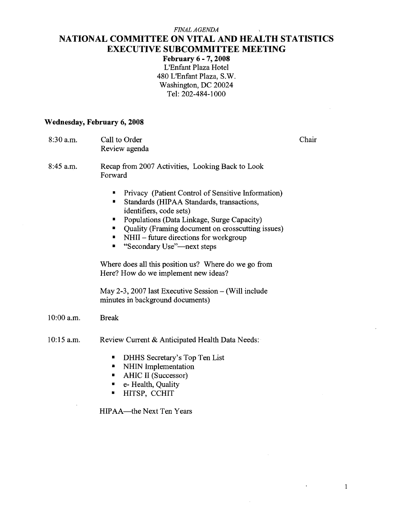### *FmXL AGENDA*  **NATIONAL COMMITTEE ON VITAL AND HEALTH STATISTICS EXECUTIVE SUBCOMMITTEE MEETING**

**February 6** - **7,2008**  L'Enfant Plaza Hotel 480 LIEnfant Plaza, S.W. Washington, DC 20024 Tel: 202-484-1000

#### **Wednesday, February 6,2008**

| $8:30$ a.m.  | Call to Order<br>Review agenda                                                                                                                                                                                                                                                                                                                                                                                                 | Chair |
|--------------|--------------------------------------------------------------------------------------------------------------------------------------------------------------------------------------------------------------------------------------------------------------------------------------------------------------------------------------------------------------------------------------------------------------------------------|-------|
| $8:45$ a.m.  | Recap from 2007 Activities, Looking Back to Look<br>Forward                                                                                                                                                                                                                                                                                                                                                                    |       |
|              | Privacy (Patient Control of Sensitive Information)<br>Standards (HIPAA Standards, transactions,<br>٠<br>identifiers, code sets)<br>Populations (Data Linkage, Surge Capacity)<br>п<br>Quality (Framing document on crosscutting issues)<br>٠<br>NHII – future directions for workgroup<br>■<br>"Secondary Use"—next steps<br>۰<br>Where does all this position us? Where do we go from<br>Here? How do we implement new ideas? |       |
|              | May 2-3, 2007 last Executive Session $-$ (Will include<br>minutes in background documents)                                                                                                                                                                                                                                                                                                                                     |       |
| $10:00$ a.m. | <b>Break</b>                                                                                                                                                                                                                                                                                                                                                                                                                   |       |
| $10:15$ a.m. | Review Current & Anticipated Health Data Needs:<br>DHHS Secretary's Top Ten List<br>п<br>NHIN Implementation<br>٠<br>AHIC II (Successor)<br>п<br>e- Health, Quality<br>п<br>HITSP, CCHIT<br>■                                                                                                                                                                                                                                  |       |

HIPAA-the Next Ten Years

 $\mathbf{1}$ 

 $\ddot{\phantom{a}}$ 

 $\bar{z}$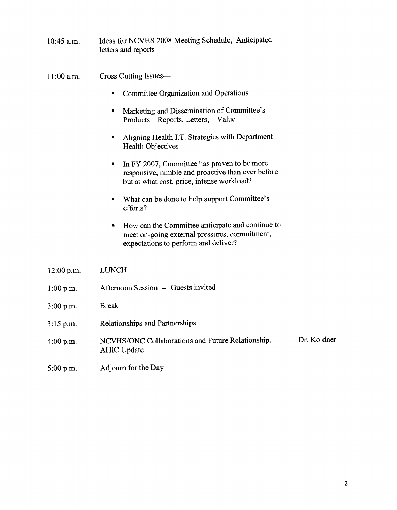Ideas for NCVHS 2008 Meeting Schedule; Anticipated  $10:45$  a.m. letters and reports

Cross Cutting Issues- $11:00$  a.m.

- Committee Organization and Operations  $\blacksquare$
- **Marketing and Dissemination of Committee's** Products-Reports, Letters, Value
- Aligning Health I.T. Strategies with Department  $\blacksquare$ Health Objectives
- In FY 2007, Committee has proven to be more  $\blacksquare$ responsive, nimble and proactive than ever before but at what cost, price, intense workload?
- What can be done to help support Committee's  $\blacksquare$ efforts?
- How can the Committee anticipate and continue to  $\blacksquare$ meet on-going external pressures, commitment, expectations to perform and deliver?
- LUNCH 12:00 p.m. Afternoon Session -- Guests invited  $1:00 p.m.$ Break  $3:00 p.m.$ Relationships and Partnerships  $3:15$  p.m. Dr. Koldner NCVHS/ONC Collaborations and Future Relationship, 4:00 p.m. AHIC Update  $5:00 p.m.$ Adjourn for the Day